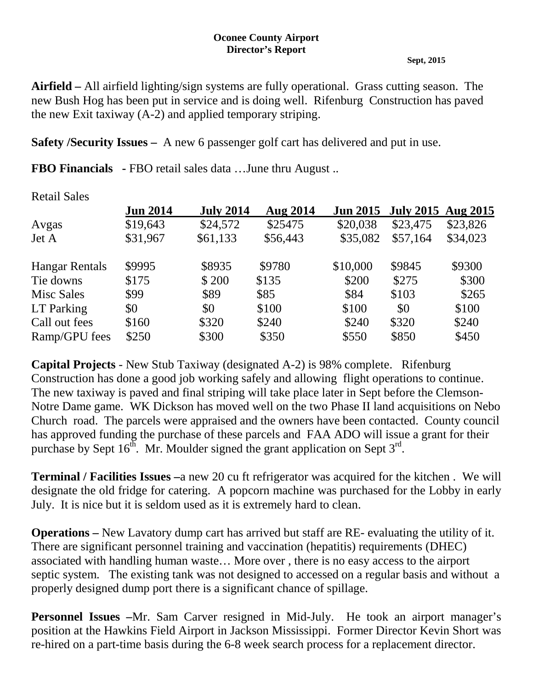## **Oconee County Airport Director's Report**

## **Sept, 2015**

**Airfield –** All airfield lighting/sign systems are fully operational. Grass cutting season. The new Bush Hog has been put in service and is doing well. Rifenburg Construction has paved the new Exit taxiway (A-2) and applied temporary striping.

**Safety /Security Issues –** A new 6 passenger golf cart has delivered and put in use.

**FBO Financials -** FBO retail sales data …June thru August ..

| <i>R</i> etail Daley  |                 |                  |                 |                 |                           |          |
|-----------------------|-----------------|------------------|-----------------|-----------------|---------------------------|----------|
|                       | <b>Jun 2014</b> | <b>July 2014</b> | <b>Aug 2014</b> | <b>Jun 2015</b> | <b>July 2015</b> Aug 2015 |          |
| Avgas                 | \$19,643        | \$24,572         | \$25475         | \$20,038        | \$23,475                  | \$23,826 |
| Jet A                 | \$31,967        | \$61,133         | \$56,443        | \$35,082        | \$57,164                  | \$34,023 |
| <b>Hangar Rentals</b> | \$9995          | \$8935           | \$9780          | \$10,000        | \$9845                    | \$9300   |
| Tie downs             | \$175           | \$200            | \$135           | \$200           | \$275                     | \$300    |
| Misc Sales            | \$99            | \$89             | \$85            | \$84            | \$103                     | \$265    |
| LT Parking            | \$0             | \$0              | \$100           | \$100           | \$0                       | \$100    |
| Call out fees         | \$160           | \$320            | \$240           | \$240           | \$320                     | \$240    |
| Ramp/GPU fees         | \$250           | \$300            | \$350           | \$550           | \$850                     | \$450    |
|                       |                 |                  |                 |                 |                           |          |

**Capital Projects** - New Stub Taxiway (designated A-2) is 98% complete. Rifenburg Construction has done a good job working safely and allowing flight operations to continue. The new taxiway is paved and final striping will take place later in Sept before the Clemson-Notre Dame game. WK Dickson has moved well on the two Phase II land acquisitions on Nebo Church road. The parcels were appraised and the owners have been contacted. County council has approved funding the purchase of these parcels and FAA ADO will issue a grant for their purchase by Sept  $16<sup>th</sup>$ . Mr. Moulder signed the grant application on Sept  $3<sup>rd</sup>$ .

**Terminal / Facilities Issues –**a new 20 cu ft refrigerator was acquired for the kitchen . We will designate the old fridge for catering. A popcorn machine was purchased for the Lobby in early July. It is nice but it is seldom used as it is extremely hard to clean.

**Operations –** New Lavatory dump cart has arrived but staff are RE- evaluating the utility of it. There are significant personnel training and vaccination (hepatitis) requirements (DHEC) associated with handling human waste… More over , there is no easy access to the airport septic system. The existing tank was not designed to accessed on a regular basis and without a properly designed dump port there is a significant chance of spillage.

**Personnel Issues –**Mr. Sam Carver resigned in Mid-July. He took an airport manager's position at the Hawkins Field Airport in Jackson Mississippi. Former Director Kevin Short was re-hired on a part-time basis during the 6-8 week search process for a replacement director.

Retail Sales